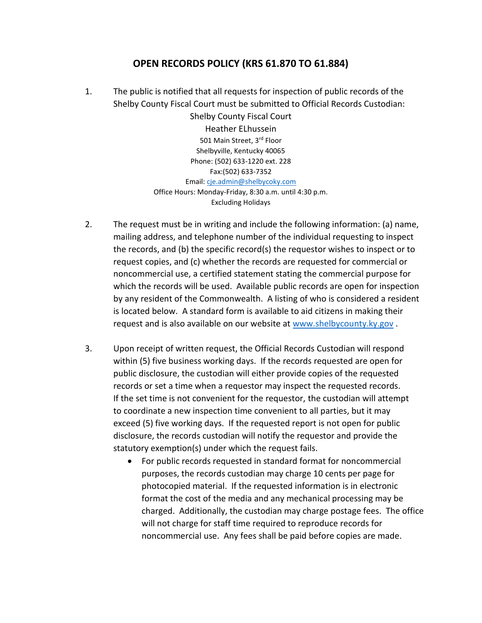## **OPEN RECORDS POLICY (KRS 61.870 TO 61.884)**

1. The public is notified that all requests for inspection of public records of the Shelby County Fiscal Court must be submitted to Official Records Custodian:

> Shelby County Fiscal Court Heather ELhussein 501 Main Street, 3rd Floor Shelbyville, Kentucky 40065 Phone: (502) 633-1220 ext. 228 Fax:(502) 633-7352 Email: [cje.admin@shelbycoky.com](mailto:cje.admin@shelbycoky.com) Office Hours: Monday-Friday, 8:30 a.m. until 4:30 p.m. Excluding Holidays

- 2. The request must be in writing and include the following information: (a) name, mailing address, and telephone number of the individual requesting to inspect the records, and (b) the specific record(s) the requestor wishes to inspect or to request copies, and (c) whether the records are requested for commercial or noncommercial use, a certified statement stating the commercial purpose for which the records will be used. Available public records are open for inspection by any resident of the Commonwealth. A listing of who is considered a resident is located below. A standard form is available to aid citizens in making their request and is also available on our website at [www.shelbycounty.ky.gov](http://www.shelbycounty.ky.gov/).
- 3. Upon receipt of written request, the Official Records Custodian will respond within (5) five business working days. If the records requested are open for public disclosure, the custodian will either provide copies of the requested records or set a time when a requestor may inspect the requested records. If the set time is not convenient for the requestor, the custodian will attempt to coordinate a new inspection time convenient to all parties, but it may exceed (5) five working days. If the requested report is not open for public disclosure, the records custodian will notify the requestor and provide the statutory exemption(s) under which the request fails.
	- For public records requested in standard format for noncommercial purposes, the records custodian may charge 10 cents per page for photocopied material. If the requested information is in electronic format the cost of the media and any mechanical processing may be charged. Additionally, the custodian may charge postage fees. The office will not charge for staff time required to reproduce records for noncommercial use. Any fees shall be paid before copies are made.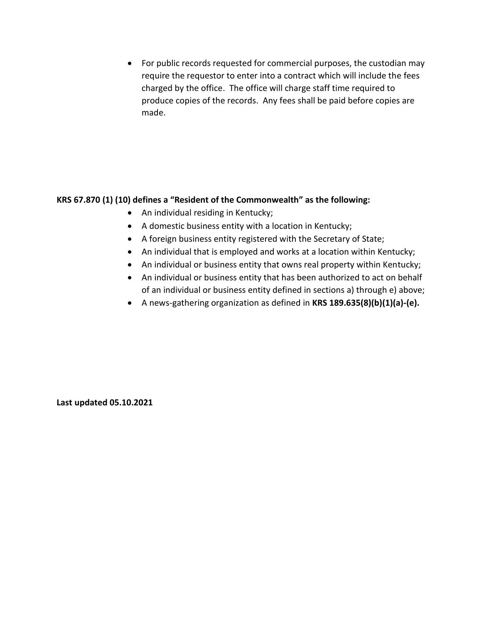• For public records requested for commercial purposes, the custodian may require the requestor to enter into a contract which will include the fees charged by the office. The office will charge staff time required to produce copies of the records. Any fees shall be paid before copies are made.

## **KRS 67.870 (1) (10) defines a "Resident of the Commonwealth" as the following:**

- An individual residing in Kentucky;
- A domestic business entity with a location in Kentucky;
- A foreign business entity registered with the Secretary of State;
- An individual that is employed and works at a location within Kentucky;
- An individual or business entity that owns real property within Kentucky;
- An individual or business entity that has been authorized to act on behalf of an individual or business entity defined in sections a) through e) above;
- A news-gathering organization as defined in **KRS 189.635(8)(b)(1)(a)-(e).**

**Last updated 05.10.2021**